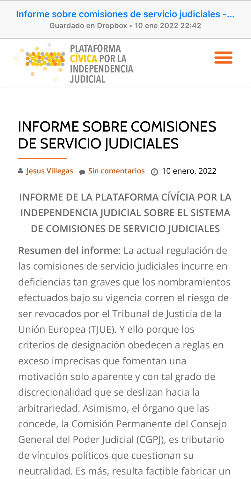Informe sobre comisiones de servicio judiciales -...

Guardado en Dropbox · 10 ene 2022 22:42





# **INFORME SOBRE COMISIONES** DE SERVICIO JUDICIALES

Sin comentarios @ 10 enero, 2022

INFORME DE LA PLATAFORMA CÍVÍCIA POR LA **INDEPENDENCIA JUDICIAL SOBRE EL SISTEMA** DE COMISIONES DE SERVICIO JUDICIALES

Resumen del informe: La actual regulación de las comisiones de servicio judiciales incurre en deficiencias tan graves que los nombramientos efectuados bajo su vigencia corren el riesgo de ser revocados por el Tribunal de Justicia de la Unión Europea (TJUE). Y ello porque los criterios de designación obedecen a reglas en exceso imprecisas que fomentan una motivación solo aparente y con tal grado de discrecionalidad que se deslizan hacia la arbitrariedad. Asimismo, el órgano que las concede, la Comisión Permanente del Consejo General del Poder Judicial (CGPJ), es tributario de vínculos políticos que cuestionan su neutralidad. Es más, resulta factible fabricar un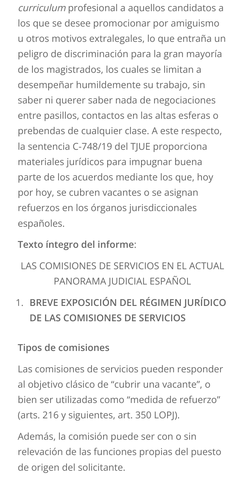curriculum profesional a aquellos candidatos a los que se desee promocionar por amiguismo u otros motivos extralegales, lo que entraña un peligro de discriminación para la gran mayoría de los magistrados, los cuales se limitan a desempeñar humildemente su trabajo, sin saber ni querer saber nada de negociaciones entre pasillos, contactos en las altas esferas o prebendas de cualquier clase. A este respecto, la sentencia C-748/19 del TJUE proporciona materiales jurídicos para impugnar buena parte de los acuerdos mediante los que, hoy por hoy, se cubren vacantes o se asignan refuerzos en los órganos jurisdiccionales españoles.

Texto íntegro del informe:

## LAS COMISIONES DE SERVICIOS EN EL ACTUAL PANORAMA JUDICIAL ESPAÑOL

BREVE EXPOSICIÓN DEL RÉGIMEN JURÍDICO  $1_{\cdot}$ DE LAS COMISIONES DE SERVICIOS

#### **Tipos de comisiones**

Las comisiones de servicios pueden responder al objetivo clásico de "cubrir una vacante", o bien ser utilizadas como "medida de refuerzo" (arts. 216 y siguientes, art. 350 LOPJ).

Además, la comisión puede ser con o sin relevación de las funciones propias del puesto de origen del solicitante.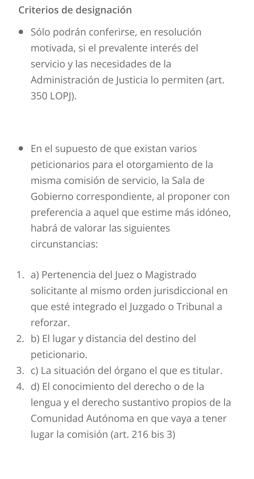### Criterios de designación

- Sólo podrán conferirse, en resolución  $\bullet$ motivada, si el prevalente interés del servicio y las necesidades de la Administración de Justicia lo permiten (art. 350 LOPI).
- En el supuesto de que existan varios  $\bullet$ peticionarios para el otorgamiento de la misma comisión de servicio, la Sala de Gobierno correspondiente, al proponer con preferencia a aquel que estime más idóneo, habrá de valorar las siguientes circunstancias:
- a) Pertenencia del Juez o Magistrado 1. solicitante al mismo orden jurisdiccional en que esté integrado el Juzgado o Tribunal a reforzar.
- b) El lugar y distancia del destino del  $2.$ peticionario.
- 3. c) La situación del órgano el que es titular.
- d) El conocimiento del derecho o de la 4. lengua y el derecho sustantivo propios de la Comunidad Autónoma en que vaya a tener lugar la comisión (art. 216 bis 3)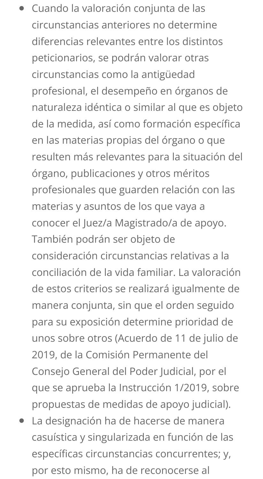- Cuando la valoración conjunta de las  $\bullet$ circunstancias anteriores no determine diferencias relevantes entre los distintos peticionarios, se podrán valorar otras circunstancias como la antigüedad profesional, el desempeño en órganos de naturaleza idéntica o similar al que es objeto de la medida, así como formación específica en las materias propias del órgano o que resulten más relevantes para la situación del órgano, publicaciones y otros méritos profesionales que guarden relación con las materias y asuntos de los que vaya a conocer el Juez/a Magistrado/a de apoyo. También podrán ser objeto de consideración circunstancias relativas a la conciliación de la vida familiar. La valoración de estos criterios se realizará igualmente de manera conjunta, sin que el orden seguido para su exposición determine prioridad de unos sobre otros (Acuerdo de 11 de julio de 2019, de la Comisión Permanente del Consejo General del Poder Judicial, por el que se aprueba la Instrucción 1/2019, sobre propuestas de medidas de apoyo judicial).
- La designación ha de hacerse de manera  $\bullet$ casuística y singularizada en función de las específicas circunstancias concurrentes; y, por esto mismo, ha de reconocerse al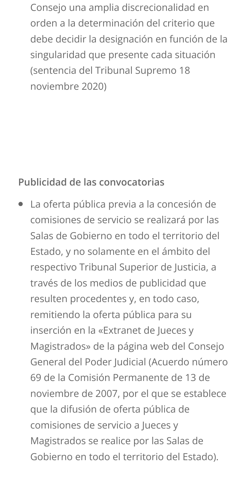Consejo una amplia discrecionalidad en orden a la determinación del criterio que debe decidir la designación en función de la singularidad que presente cada situación (sentencia del Tribunal Supremo 18 noviembre 2020)

#### Publicidad de las convocatorias

La oferta pública previa a la concesión de  $\bullet$ comisiones de servicio se realizará por las Salas de Gobierno en todo el territorio del Estado, y no solamente en el ámbito del respectivo Tribunal Superior de Justicia, a través de los medios de publicidad que resulten procedentes y, en todo caso, remitiendo la oferta pública para su inserción en la «Extranet de Jueces y Magistrados» de la página web del Consejo General del Poder Judicial (Acuerdo número 69 de la Comisión Permanente de 13 de noviembre de 2007, por el que se establece que la difusión de oferta pública de comisiones de servicio a Jueces y Magistrados se realice por las Salas de Gobierno en todo el territorio del Estado).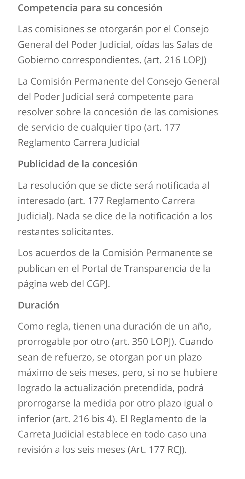#### Competencia para su concesión

Las comisiones se otorgarán por el Consejo General del Poder Judicial, oídas las Salas de Gobierno correspondientes. (art. 216 LOPJ)

La Comisión Permanente del Consejo General del Poder Judicial será competente para resolver sobre la concesión de las comisiones de servicio de cualquier tipo (art. 177 Reglamento Carrera Judicial

#### Publicidad de la concesión

La resolución que se dicte será notificada al interesado (art. 177 Reglamento Carrera Judicial). Nada se dice de la notificación a los restantes solicitantes.

Los acuerdos de la Comisión Permanente se publican en el Portal de Transparencia de la página web del CGPJ.

### Duración

Como regla, tienen una duración de un año, prorrogable por otro (art. 350 LOPJ). Cuando sean de refuerzo, se otorgan por un plazo máximo de seis meses, pero, si no se hubiere logrado la actualización pretendida, podrá prorrogarse la medida por otro plazo igual o inferior (art. 216 bis 4). El Reglamento de la Carreta Judicial establece en todo caso una revisión a los seis meses (Art. 177 RCJ).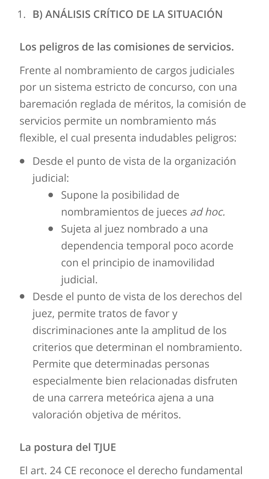# 1. B) ANÁLISIS CRÍTICO DE LA SITUACIÓN

### Los peligros de las comisiones de servicios.

Frente al nombramiento de cargos judiciales por un sistema estricto de concurso, con una baremación reglada de méritos, la comisión de servicios permite un nombramiento más flexible, el cual presenta indudables peligros:

- Desde el punto de vista de la organización  $\bullet$ judicial:
	- · Supone la posibilidad de nombramientos de jueces ad hoc.
	- Sujeta al juez nombrado a una dependencia temporal poco acorde con el principio de inamovilidad judicial.
- Desde el punto de vista de los derechos del juez, permite tratos de favor y discriminaciones ante la amplitud de los criterios que determinan el nombramiento. Permite que determinadas personas especialmente bien relacionadas disfruten de una carrera meteórica ajena a una valoración objetiva de méritos.

### La postura del TJUE

El art. 24 CE reconoce el derecho fundamental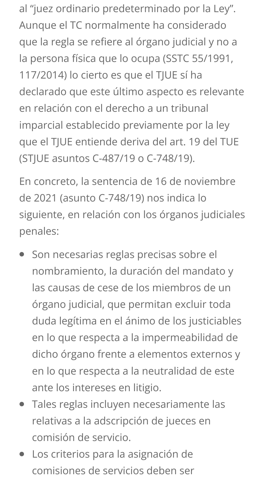al "juez ordinario predeterminado por la Ley". Aunque el TC normalmente ha considerado que la regla se refiere al órgano judicial y no a la persona física que lo ocupa (SSTC 55/1991, 117/2014) lo cierto es que el TJUE sí ha declarado que este último aspecto es relevante en relación con el derecho a un tribunal imparcial establecido previamente por la ley que el TJUE entiende deriva del art. 19 del TUE (STJUE asuntos C-487/19 o C-748/19).

En concreto, la sentencia de 16 de noviembre de 2021 (asunto C-748/19) nos indica lo siguiente, en relación con los órganos judiciales penales:

- Son necesarias reglas precisas sobre el  $\bullet$ nombramiento, la duración del mandato y las causas de cese de los miembros de un órgano judicial, que permitan excluir toda duda legítima en el ánimo de los justiciables en lo que respecta a la impermeabilidad de dicho órgano frente a elementos externos y en lo que respecta a la neutralidad de este ante los intereses en litigio.
- Tales reglas incluyen necesariamente las  $\bullet$ relativas a la adscripción de jueces en comisión de servicio.
- Los criterios para la asignación de  $\bullet$ comisiones de servicios deben ser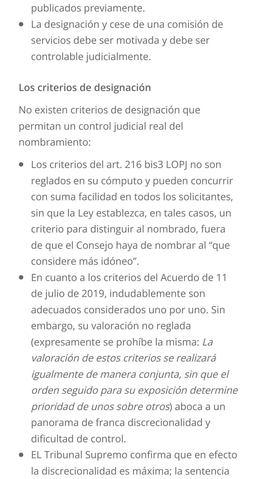publicados previamente.

La designación y cese de una comisión de  $\bullet$ servicios debe ser motivada y debe ser controlable judicialmente.

#### Los criterios de designación

No existen criterios de designación que permitan un control judicial real del nombramiento:

- Los criterios del art. 216 bis3 LOPI no son  $\bullet$ reglados en su cómputo y pueden concurrir con suma facilidad en todos los solicitantes. sin que la Ley establezca, en tales casos, un criterio para distinguir al nombrado, fuera de que el Consejo haya de nombrar al "que considere más idóneo".
- En cuanto a los criterios del Acuerdo de 11 de julio de 2019, indudablemente son adecuados considerados uno por uno. Sin embargo, su valoración no reglada (expresamente se prohíbe la misma: La valoración de estos criterios se realizará igualmente de manera conjunta, sin que el orden seguido para su exposición determine prioridad de unos sobre otros) aboca a un panorama de franca discrecionalidad y dificultad de control.
- EL Tribunal Supremo confirma que en efecto la discrecionalidad es máxima; la sentencia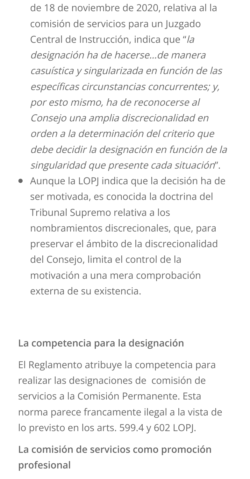de 18 de noviembre de 2020, relativa al la comisión de servicios para un Juzgado Central de Instrucción, indica que "la designación ha de hacerse...de manera casuística y singularizada en función de las específicas circunstancias concurrentes; y, por esto mismo, ha de reconocerse al Consejo una amplia discrecionalidad en orden a la determinación del criterio que debe decidir la designación en función de la singularidad que presente cada situación".

Aunque la LOPJ indica que la decisión ha de  $\bullet$ ser motivada, es conocida la doctrina del Tribunal Supremo relativa a los nombramientos discrecionales, que, para preservar el ámbito de la discrecionalidad del Consejo, limita el control de la motivación a una mera comprobación externa de su existencia.

#### La competencia para la designación

El Reglamento atribuye la competencia para realizar las designaciones de comisión de servicios a la Comisión Permanente, Esta norma parece francamente ilegal a la vista de lo previsto en los arts. 599.4 y 602 LOPJ.

La comisión de servicios como promoción profesional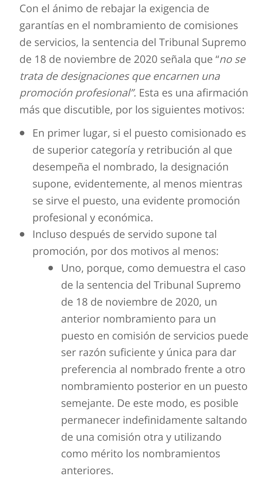Con el ánimo de rebajar la exigencia de garantías en el nombramiento de comisiones de servicios, la sentencia del Tribunal Supremo de 18 de noviembre de 2020 señala que "no se trata de designaciones que encarnen una promoción profesional". Esta es una afirmación más que discutible, por los siguientes motivos:

- En primer lugar, si el puesto comisionado es  $\bullet$ de superior categoría y retribución al que desempeña el nombrado, la designación supone, evidentemente, al menos mientras se sirve el puesto, una evidente promoción profesional y económica.
- Incluso después de servido supone tal  $\bullet$ promoción, por dos motivos al menos:
	- Uno, porque, como demuestra el caso de la sentencia del Tribunal Supremo de 18 de noviembre de 2020, un anterior nombramiento para un puesto en comisión de servicios puede ser razón suficiente y única para dar preferencia al nombrado frente a otro nombramiento posterior en un puesto semejante. De este modo, es posible permanecer indefinidamente saltando de una comisión otra y utilizando como mérito los nombramientos anteriores.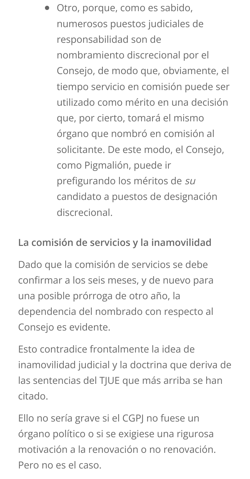Otro, porque, como es sabido, numerosos puestos judiciales de responsabilidad son de nombramiento discrecional por el Consejo, de modo que, obviamente, el tiempo servicio en comisión puede ser utilizado como mérito en una decisión que, por cierto, tomará el mismo órgano que nombró en comisión al solicitante. De este modo, el Consejo, como Pigmalión, puede ir prefigurando los méritos de su candidato a puestos de designación discrecional.

#### La comisión de servicios y la inamovilidad

Dado que la comisión de servicios se debe confirmar a los seis meses, y de nuevo para una posible prórroga de otro año, la dependencia del nombrado con respecto al Consejo es evidente.

Esto contradice frontalmente la idea de inamovilidad judicial y la doctrina que deriva de las sentencias del TJUE que más arriba se han citado.

Ello no sería grave si el CGPJ no fuese un órgano político o si se exigiese una rigurosa motivación a la renovación o no renovación. Pero no es el caso.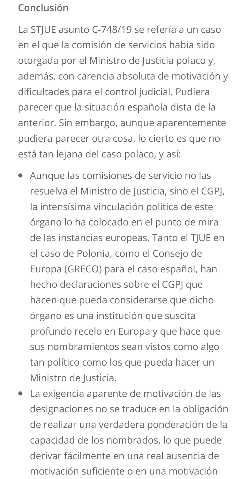#### Conclusión

La STIUE asunto C-748/19 se refería a un caso en el que la comisión de servicios había sido otorgada por el Ministro de Justicia polaco y, además, con carencia absoluta de motivación y dificultades para el control judicial. Pudiera parecer que la situación española dista de la anterior. Sin embargo, aunque aparentemente pudiera parecer otra cosa, lo cierto es que no está tan lejana del caso polaco, y así:

- Aunque las comisiones de servicio no las resuelva el Ministro de Justicia, sino el CGPJ, la intensísima vinculación política de este órgano lo ha colocado en el punto de mira de las instancias europeas. Tanto el TJUE en el caso de Polonia, como el Consejo de Europa (GRECO) para el caso español, han hecho declaraciones sobre el CGPJ que hacen que pueda considerarse que dicho órgano es una institución que suscita profundo recelo en Europa y que hace que sus nombramientos sean vistos como algo tan político como los que pueda hacer un Ministro de Justicia.
- La exigencia aparente de motivación de las  $\bullet$ designaciones no se traduce en la obligación de realizar una verdadera ponderación de la capacidad de los nombrados, lo que puede derivar fácilmente en una real ausencia de motivación suficiente o en una motivación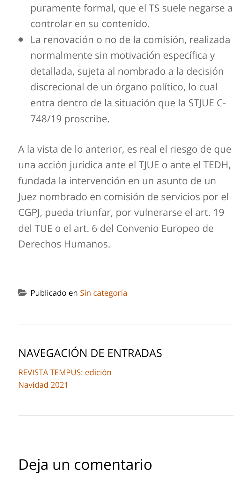puramente formal, que el TS suele negarse a controlar en su contenido.

La renovación o no de la comisión, realizada normalmente sin motivación específica y detallada, sujeta al nombrado a la decisión discrecional de un órgano político, lo cual entra dentro de la situación que la STIUE C-748/19 proscribe.

A la vista de lo anterior, es real el riesgo de que una acción jurídica ante el TJUE o ante el TEDH, fundada la intervención en un asunto de un Juez nombrado en comisión de servicios por el CGPJ, pueda triunfar, por vulnerarse el art. 19 del TUE o el art. 6 del Convenio Europeo de Derechos Humanos



# NAVEGACIÓN DE ENTRADAS

**REVISTA TEMPUS: edición** Navidad 2021

# Deja un comentario